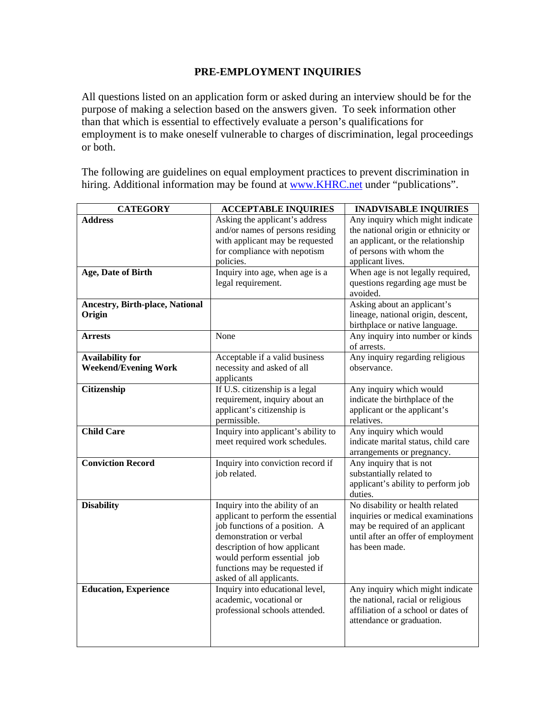## **PRE-EMPLOYMENT INQUIRIES**

All questions listed on an application form or asked during an interview should be for the purpose of making a selection based on the answers given. To seek information other than that which is essential to effectively evaluate a person's qualifications for employment is to make oneself vulnerable to charges of discrimination, legal proceedings or both.

The following are guidelines on equal employment practices to prevent discrimination in hiring. Additional information may be found at www.KHRC.net under "publications".

| <b>CATEGORY</b>                        | <b>ACCEPTABLE INQUIRIES</b>                                | <b>INADVISABLE INQUIRIES</b>                                          |
|----------------------------------------|------------------------------------------------------------|-----------------------------------------------------------------------|
| <b>Address</b>                         | Asking the applicant's address                             | Any inquiry which might indicate                                      |
|                                        | and/or names of persons residing                           | the national origin or ethnicity or                                   |
|                                        | with applicant may be requested                            | an applicant, or the relationship                                     |
|                                        | for compliance with nepotism                               | of persons with whom the                                              |
|                                        | policies.                                                  | applicant lives.                                                      |
| Age, Date of Birth                     | Inquiry into age, when age is a                            | When age is not legally required,                                     |
|                                        | legal requirement.                                         | questions regarding age must be                                       |
|                                        |                                                            | avoided.                                                              |
| <b>Ancestry, Birth-place, National</b> |                                                            | Asking about an applicant's                                           |
| Origin                                 |                                                            | lineage, national origin, descent,                                    |
|                                        |                                                            | birthplace or native language.                                        |
| <b>Arrests</b>                         | None                                                       | Any inquiry into number or kinds                                      |
|                                        |                                                            | of arrests.                                                           |
| <b>Availability for</b>                | Acceptable if a valid business                             | Any inquiry regarding religious                                       |
| <b>Weekend/Evening Work</b>            | necessity and asked of all                                 | observance.                                                           |
|                                        | applicants                                                 |                                                                       |
| Citizenship                            | If U.S. citizenship is a legal                             | Any inquiry which would                                               |
|                                        | requirement, inquiry about an                              | indicate the birthplace of the                                        |
|                                        | applicant's citizenship is                                 | applicant or the applicant's                                          |
|                                        | permissible.                                               | relatives.                                                            |
| <b>Child Care</b>                      | Inquiry into applicant's ability to                        | Any inquiry which would                                               |
|                                        | meet required work schedules.                              | indicate marital status, child care                                   |
|                                        |                                                            | arrangements or pregnancy.                                            |
| <b>Conviction Record</b>               | Inquiry into conviction record if                          | Any inquiry that is not                                               |
|                                        | job related.                                               | substantially related to                                              |
|                                        |                                                            | applicant's ability to perform job                                    |
|                                        |                                                            | duties.                                                               |
| <b>Disability</b>                      | Inquiry into the ability of an                             | No disability or health related                                       |
|                                        | applicant to perform the essential                         | inquiries or medical examinations                                     |
|                                        | job functions of a position. A                             | may be required of an applicant                                       |
|                                        | demonstration or verbal                                    | until after an offer of employment                                    |
|                                        | description of how applicant                               | has been made.                                                        |
|                                        | would perform essential job                                |                                                                       |
|                                        | functions may be requested if                              |                                                                       |
|                                        | asked of all applicants.                                   |                                                                       |
| <b>Education, Experience</b>           | Inquiry into educational level,<br>academic, vocational or | Any inquiry which might indicate<br>the national, racial or religious |
|                                        | professional schools attended.                             | affiliation of a school or dates of                                   |
|                                        |                                                            |                                                                       |
|                                        |                                                            | attendance or graduation.                                             |
|                                        |                                                            |                                                                       |